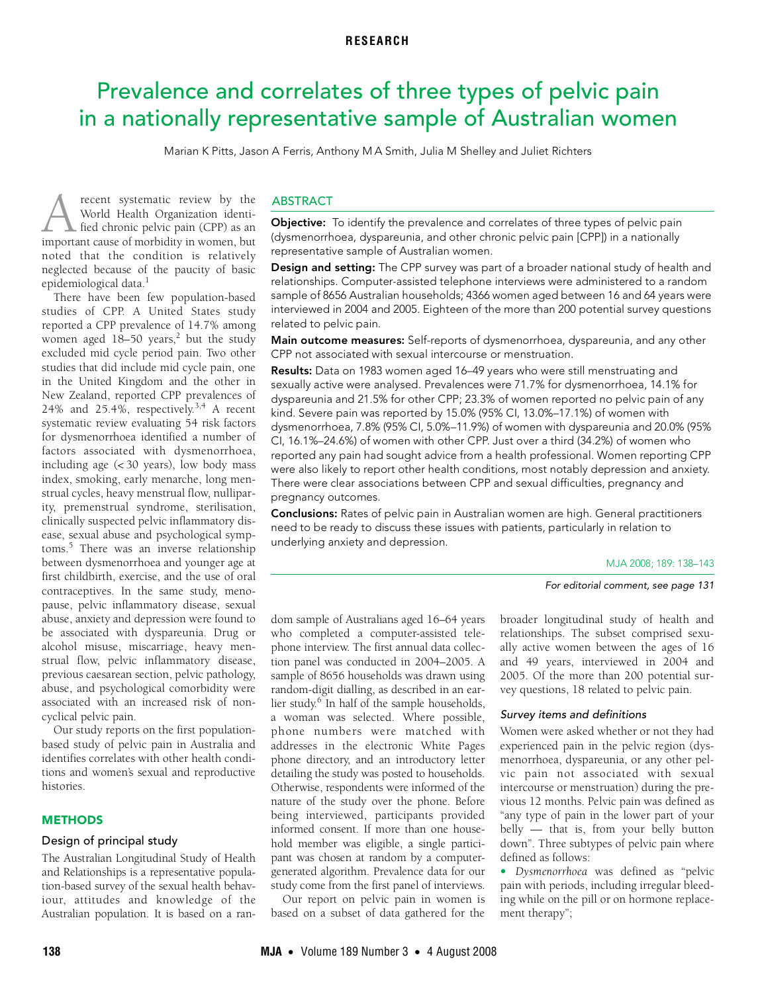# <span id="page-0-0"></span>Prevalence and correlates of three types of pelvic pain in a nationally representative sample of Australian women

Marian K Pitts, Jason A Ferris, Anthony M A Smith, Julia M Shelley and Juliet Richters

recent systematic review by the World Health Organization identified chronic pelvic pain (CPP) as an **important in Systematic review by the World Health Organization identi-**<br>fied chronic pelvic pain (CPP) as an important cause of morbidity in women, but noted that the condition is relatively neglected because of the paucity of basic epidemiological data.<sup>1</sup>

women aged  $18-50$  years,<sup>2</sup> but the study excluded mid cycle period pain. Two other 143 [studies th](#page-5-6)at did include mid cycle pain, one  $\sum_{i=1}^{\infty}$  and  $\sum_{i=1}^{\infty}$  and  $\sum_{i=1}^{\infty}$ in the United Kingdom and the other in New Zealand, reported CPP prevalences of There have been few population-based studies of CPP. A United States study reported a CPP prevalence of 14.7% among 24% and 25.4%, respectively.<sup>[3](#page-5-2),4</sup> A recent systematic review evaluating 54 risk factors for dysmenorrhoea identified a number of factors associated with dysmenorrhoea, including age (< 30 years), low body mass index, smoking, early menarche, long menstrual cycles, heavy menstrual flow, nulliparity, premenstrual syndrome, sterilisation, clinically suspected pelvic inflammatory disease, sexual abuse and psychological symptoms.<sup>5</sup> There was an inverse relationship between dysmenorrhoea and younger age at first childbirth, exercise, and the use of oral contraceptives. In the same study, menopause, pelvic inflammatory disease, sexual abuse, anxiety and depression were found to be associated with dyspareunia. Drug or alcohol misuse, miscarriage, heavy menstrual flow, pelvic inflammatory disease, previous caesarean section, pelvic pathology, abuse, and psychological comorbidity were associated with an increased risk of noncyclical pelvic pain.

Our study reports on the first populationbased study of pelvic pain in Australia and identifies correlates with other health conditions and women's sexual and reproductive histories.

# **METHODS**

# Design of principal study

The Australian Longitudinal Study of Health and Relationships is a representative population-based survey of the sexual health behaviour, attitudes and knowledge of the Australian population. It is based on a ran-

# ABSTRACT

**Objective:** To identify the prevalence and correlates of three types of pelvic pain (dysmenorrhoea, dyspareunia, and other chronic pelvic pain [CPP]) in a nationally representative sample of Australian women.

Design and setting: The CPP survey was part of a broader national study of health and relationships. Computer-assisted telephone interviews were administered to a random sample of 8656 Australian households; 4366 women aged between 16 and 64 years were interviewed in 2004 and 2005. Eighteen of the more than 200 potential survey questions related to pelvic pain.

Main outcome measures: Self-reports of dysmenorrhoea, dyspareunia, and any other CPP not associated with sexual intercourse or menstruation.

Results: Data on 1983 women aged 16-49 years who were still menstruating and sexually active were analysed. Prevalences were 71.7% for dysmenorrhoea, 14.1% for dyspareunia and 21.5% for other CPP; 23.3% of women reported no pelvic pain of any kind. Severe pain was reported by 15.0% (95% CI, 13.0%–17.1%) of women with dysmenorrhoea, 7.8% (95% CI, 5.0%–11.9%) of women with dyspareunia and 20.0% (95% CI, 16.1%–24.6%) of women with other CPP. Just over a third (34.2%) of women who reported any pain had sought advice from a health professional. Women reporting CPP were also likely to report other health conditions, most notably depression and anxiety. There were clear associations between CPP and sexual difficulties, pregnancy and pregnancy outcomes.

Conclusions: Rates of pelvic pain in Australian women are high. General practitioners need to be ready to discuss these issues with patients, particularly in relation to underlying anxiety and depression.

MJA 2008; 189: 138–143

#### For editorial comment, see page 131

dom sample of Australians aged 16–64 years who completed a computer-assisted telephone interview. The first annual data collection panel was conducted in 2004–2005. A sample of 8656 households was drawn using random-digit dialling, as described in an earlier study.<sup>6</sup> In half of the sample households, a woman was selected. Where possible, phone numbers were matched with addresses in the electronic White Pages phone directory, and an introductory letter detailing the study was posted to households. Otherwise, respondents were informed of the nature of the study over the phone. Before being interviewed, participants provided informed consent. If more than one household member was eligible, a single participant was chosen at random by a computergenerated algorithm. Prevalence data for our study come from the first panel of interviews.

Our report on pelvic pain in women is based on a subset of data gathered for the

broader longitudinal study of health and relationships. The subset comprised sexually active women between the ages of 16 and 49 years, interviewed in 2004 and 2005. Of the more than 200 potential survey questions, 18 related to pelvic pain.

#### Survey items and definitions

Women were asked whether or not they had experienced pain in the pelvic region (dysmenorrhoea, dyspareunia, or any other pelvic pain not associated with sexual intercourse or menstruation) during the previous 12 months. Pelvic pain was defined as "any type of pain in the lower part of your belly — that is, from your belly button down". Three subtypes of pelvic pain where defined as follows:

• *Dysmenorrhoea* was defined as "pelvic pain with periods, including irregular bleeding while on the pill or on hormone replacement therapy";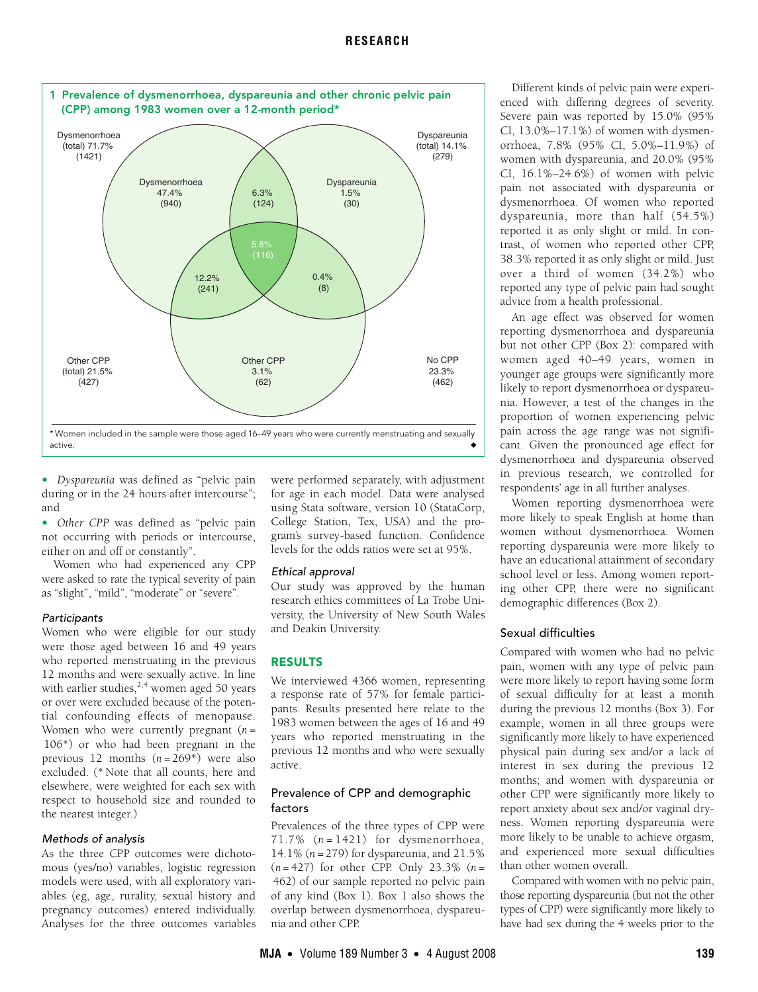

• *Dyspareunia* was defined as "pelvic pain during or in the 24 hours after intercourse"; and

• *Other CPP* was defined as "pelvic pain not occurring with periods or intercourse, either on and off or constantly".

Women who had experienced any CPP were asked to rate the typical severity of pain as "slight", "mild", "moderate" or "severe".

# **Participants**

Women who were eligible for our study were those aged between 16 and 49 years who reported menstruating in the previous 12 months and were sexually active. In line with earlier studies, $2,4$  $2,4$  $2,4$  women aged 50 years or over were excluded because of the potential confounding effects of menopause. Women who were currently pregnant (*n* = 106\*) or who had been pregnant in the previous 12 months (*n* = 269\*) were also excluded. (\* Note that all counts, here and elsewhere, were weighted for each sex with respect to household size and rounded to the nearest integer.)

# Methods of analysis

As the three CPP outcomes were dichotomous (yes/no) variables, logistic regression models were used, with all exploratory variables (eg, age, rurality, sexual history and pregnancy outcomes) entered individually. Analyses for the three outcomes variables were performed separately, with adjustment for age in each model. Data were analysed using Stata software, version 10 (StataCorp, College Station, Tex, USA) and the program's survey-based function. Confidence levels for the odds ratios were set at 95%.

# Ethical approval

Our study was approved by the human research ethics committees of La Trobe University, the University of New South Wales and Deakin University.

# RESULTS

We interviewed 4366 women, representing a response rate of 57% for female participants. Results presented here relate to the 1983 women between the ages of 16 and 49 years who reported menstruating in the previous 12 months and who were sexually active.

# Prevalence of CPP and demographic factors

Prevalences of the three types of CPP were  $71.7\%$   $(n = 1421)$  for dysmenorrhoea, 14.1% (*n* = 279) for dyspareunia, and 21.5% (*n* = 427) for other CPP. Only 23.3% (*n* = 462) of our sample reported no pelvic pain of any kind (Box 1). Box 1 also shows the overlap between dysmenorrhoea, dyspareunia and other CPP.

Different kinds of pelvic pain were experienced with differing degrees of severity. Severe pain was reported by 15.0% (95% CI, 13.0%–17.1%) of women with dysmenorrhoea, 7.8% (95% CI, 5.0%–11.9%) of women with dyspareunia, and 20.0% (95% CI, 16.1%–24.6%) of women with pelvic pain not associated with dyspareunia or dysmenorrhoea. Of women who reported dyspareunia, more than half (54.5%) reported it as only slight or mild. In contrast, of women who reported other CPP, 38.3% reported it as only slight or mild. Just over a third of women (34.2%) who reported any type of pelvic pain had sought advice from a health professional.

An age effect was observed for women reporting dysmenorrhoea and dyspareunia but not other CPP (Box 2): compared with women aged 40–49 years, women in younger age groups were significantly more likely to report dysmenorrhoea or dyspareunia. However, a test of the changes in the proportion of women experiencing pelvic pain across the age range was not significant. Given the pronounced age effect for dysmenorrhoea and dyspareunia observed in previous research, we controlled for respondents' age in all further analyses.

Women reporting dysmenorrhoea were more likely to speak English at home than women without dysmenorrhoea. Women reporting dyspareunia were more likely to have an educational attainment of secondary school level or less. Among women reporting other CPP, there were no significant demographic differences (Box 2).

# Sexual difficulties

Compared with women who had no pelvic pain, women with any type of pelvic pain were more likely to report having some form of sexual difficulty for at least a month during the previous 12 months (Box 3). For example, women in all three groups were significantly more likely to have experienced physical pain during sex and/or a lack of interest in sex during the previous 12 months; and women with dyspareunia or other CPP were significantly more likely to report anxiety about sex and/or vaginal dryness. Women reporting dyspareunia were more likely to be unable to achieve orgasm, and experienced more sexual difficulties than other women overall.

Compared with women with no pelvic pain, those reporting dyspareunia (but not the other types of CPP) were significantly more likely to have had sex during the 4 weeks prior to the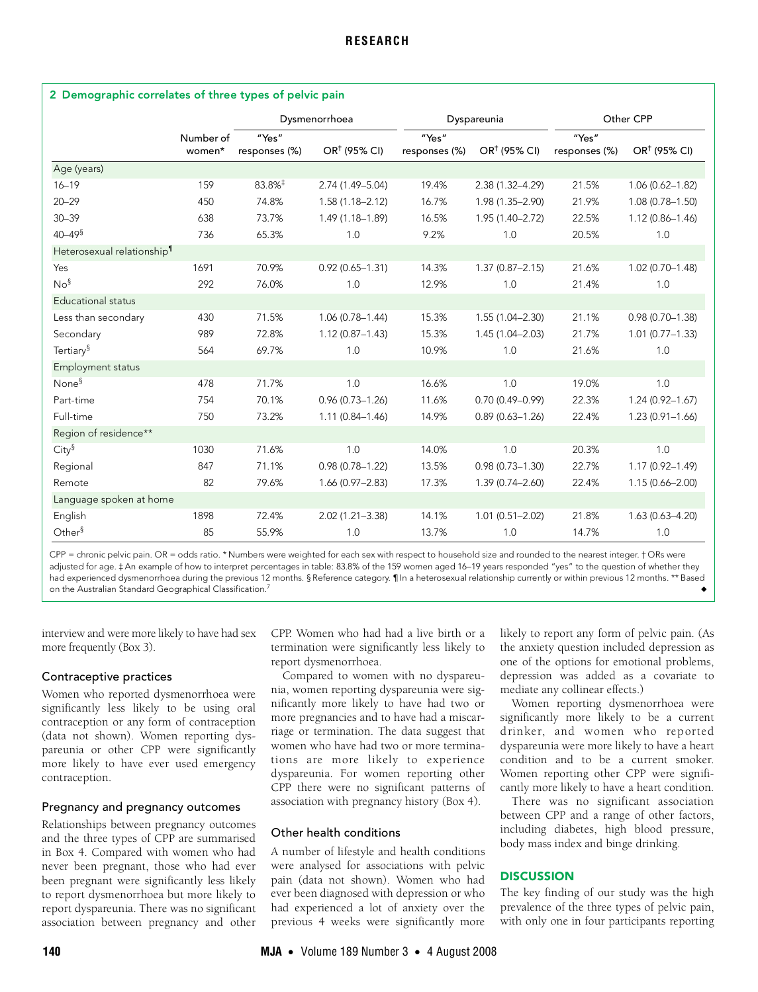| 2 Demographic correlates of three types of pelvic pain |                     |                        |                     |                        |                     |                        |                     |  |
|--------------------------------------------------------|---------------------|------------------------|---------------------|------------------------|---------------------|------------------------|---------------------|--|
|                                                        |                     | Dysmenorrhoea          |                     | Dyspareunia            |                     | Other CPP              |                     |  |
|                                                        | Number of<br>women* | "Yes"<br>responses (%) | $OR†$ (95% CI)      | "Yes"<br>responses (%) | $OR†$ (95% CI)      | "Yes"<br>responses (%) | $OR†$ (95% CI)      |  |
| Age (years)                                            |                     |                        |                     |                        |                     |                        |                     |  |
| $16 - 19$                                              | 159                 | 83.8% <sup>‡</sup>     | 2.74 (1.49-5.04)    | 19.4%                  | 2.38 (1.32-4.29)    | 21.5%                  | $1.06(0.62 - 1.82)$ |  |
| $20 - 29$                                              | 450                 | 74.8%                  | $1.58(1.18 - 2.12)$ | 16.7%                  | 1.98 (1.35-2.90)    | 21.9%                  | $1.08(0.78 - 1.50)$ |  |
| $30 - 39$                                              | 638                 | 73.7%                  | 1.49 (1.18-1.89)    | 16.5%                  | 1.95 (1.40-2.72)    | 22.5%                  | $1.12(0.86 - 1.46)$ |  |
| $40 - 49$ <sup>§</sup>                                 | 736                 | 65.3%                  | 1.0                 | 9.2%                   | 1.0                 | 20.5%                  | 1.0                 |  |
| Heterosexual relationship <sup>1</sup>                 |                     |                        |                     |                        |                     |                        |                     |  |
| Yes                                                    | 1691                | 70.9%                  | $0.92(0.65 - 1.31)$ | 14.3%                  | $1.37(0.87 - 2.15)$ | 21.6%                  | $1.02(0.70 - 1.48)$ |  |
| $No^{\S}$                                              | 292                 | 76.0%                  | 1.0                 | 12.9%                  | 1.0                 | 21.4%                  | 1.0                 |  |
| <b>Educational status</b>                              |                     |                        |                     |                        |                     |                        |                     |  |
| Less than secondary                                    | 430                 | 71.5%                  | $1.06(0.78 - 1.44)$ | 15.3%                  | $1.55(1.04 - 2.30)$ | 21.1%                  | $0.98(0.70 - 1.38)$ |  |
| Secondary                                              | 989                 | 72.8%                  | $1.12(0.87 - 1.43)$ | 15.3%                  | $1.45(1.04 - 2.03)$ | 21.7%                  | $1.01(0.77 - 1.33)$ |  |
| Tertiary <sup>§</sup>                                  | 564                 | 69.7%                  | 1.0                 | 10.9%                  | 1.0                 | 21.6%                  | 1.0                 |  |
| Employment status                                      |                     |                        |                     |                        |                     |                        |                     |  |
| None <sup>§</sup>                                      | 478                 | 71.7%                  | 1.0                 | 16.6%                  | 1.0                 | 19.0%                  | 1.0                 |  |
| Part-time                                              | 754                 | 70.1%                  | $0.96(0.73 - 1.26)$ | 11.6%                  | $0.70(0.49 - 0.99)$ | 22.3%                  | $1.24(0.92 - 1.67)$ |  |
| Full-time                                              | 750                 | 73.2%                  | $1.11(0.84 - 1.46)$ | 14.9%                  | $0.89(0.63 - 1.26)$ | 22.4%                  | $1.23(0.91 - 1.66)$ |  |
| Region of residence**                                  |                     |                        |                     |                        |                     |                        |                     |  |
| City <sup>§</sup>                                      | 1030                | 71.6%                  | 1.0                 | 14.0%                  | 1.0                 | 20.3%                  | 1.0                 |  |
| Regional                                               | 847                 | 71.1%                  | $0.98(0.78 - 1.22)$ | 13.5%                  | $0.98(0.73 - 1.30)$ | 22.7%                  | $1.17(0.92 - 1.49)$ |  |
| Remote                                                 | 82                  | 79.6%                  | $1.66(0.97 - 2.83)$ | 17.3%                  | 1.39 (0.74-2.60)    | 22.4%                  | $1.15(0.66 - 2.00)$ |  |
| Language spoken at home                                |                     |                        |                     |                        |                     |                        |                     |  |
| English                                                | 1898                | 72.4%                  | $2.02(1.21 - 3.38)$ | 14.1%                  | $1.01(0.51 - 2.02)$ | 21.8%                  | $1.63(0.63 - 4.20)$ |  |
| Other $\delta$                                         | 85                  | 55.9%                  | 1.0                 | 13.7%                  | 1.0                 | 14.7%                  | 1.0                 |  |

CPP = chronic pelvic pain. OR = odds ratio. \* Numbers were weighted for each sex with respect to household size and rounded to the nearest integer. † ORs were adjusted for age. ‡ An example of how to interpret percentages in table: 83.8% of the 159 women aged 16–19 years responded "yes" to the question of whether they had experienced dysmenorrhoea during the previous 12 months. § Reference category. ¶ In a heterosexual relationship currently or within previous 12 months. \*\* Based on the Australian Standard Geographical Classification.<sup>[7](#page-5-7)</sup>

interview and were more likely to have had sex more frequently (Box 3).

# Contraceptive practices

Women who reported dysmenorrhoea were significantly less likely to be using oral contraception or any form of contraception (data not shown). Women reporting dyspareunia or other CPP were significantly more likely to have ever used emergency contraception.

# Pregnancy and pregnancy outcomes

Relationships between pregnancy outcomes and the three types of CPP are summarised in Box 4. Compared with women who had never been pregnant, those who had ever been pregnant were significantly less likely to report dysmenorrhoea but more likely to report dyspareunia. There was no significant association between pregnancy and other

CPP. Women who had had a live birth or a termination were significantly less likely to report dysmenorrhoea.

Compared to women with no dyspareunia, women reporting dyspareunia were significantly more likely to have had two or more pregnancies and to have had a miscarriage or termination. The data suggest that women who have had two or more terminations are more likely to experience dyspareunia. For women reporting other CPP there were no significant patterns of association with pregnancy history (Box 4).

# Other health conditions

A number of lifestyle and health conditions were analysed for associations with pelvic pain (data not shown). Women who had ever been diagnosed with depression or who had experienced a lot of anxiety over the previous 4 weeks were significantly more

likely to report any form of pelvic pain. (As the anxiety question included depression as one of the options for emotional problems, depression was added as a covariate to mediate any collinear effects.)

Women reporting dysmenorrhoea were significantly more likely to be a current drinker, and women who reported dyspareunia were more likely to have a heart condition and to be a current smoker. Women reporting other CPP were significantly more likely to have a heart condition.

There was no significant association between CPP and a range of other factors, including diabetes, high blood pressure, body mass index and binge drinking.

# **DISCUSSION**

The key finding of our study was the high prevalence of the three types of pelvic pain, with only one in four participants reporting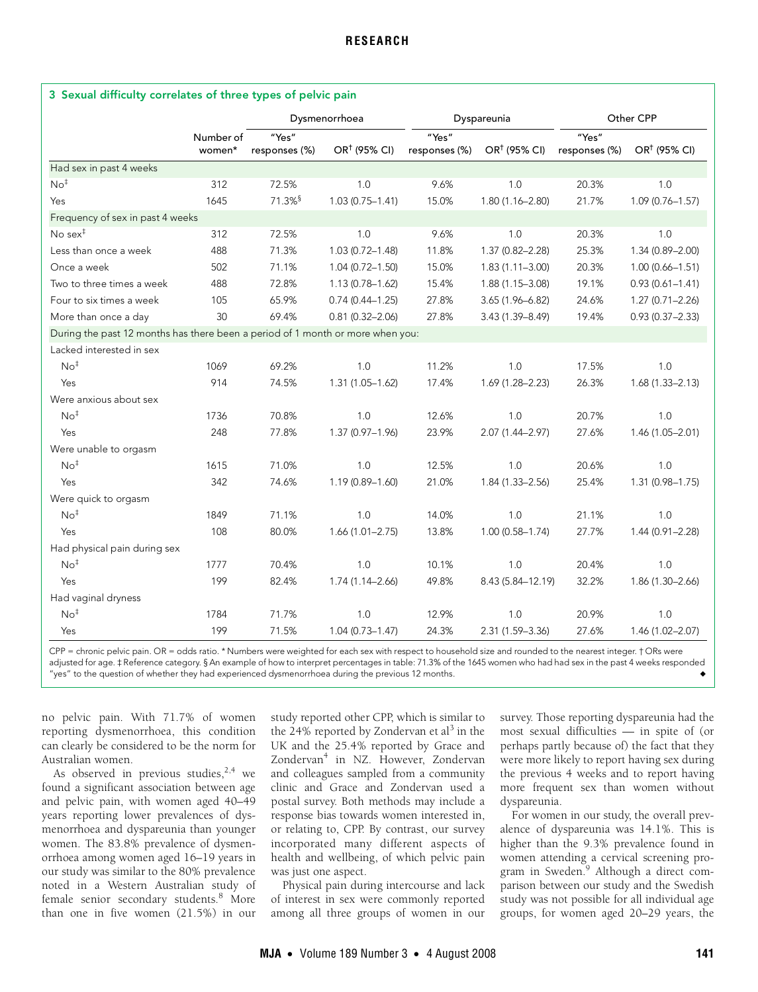|                                                                                |                     | Dysmenorrhoea          |                     | Dyspareunia            |                     | Other CPP              |                     |
|--------------------------------------------------------------------------------|---------------------|------------------------|---------------------|------------------------|---------------------|------------------------|---------------------|
|                                                                                | Number of<br>women* | "Yes"<br>responses (%) | $OR†$ (95% CI)      | "Yes"<br>responses (%) | $OR†$ (95% CI)      | "Yes"<br>responses (%) | $OR†$ (95% CI)      |
| Had sex in past 4 weeks                                                        |                     |                        |                     |                        |                     |                        |                     |
| No <sup>†</sup>                                                                | 312                 | 72.5%                  | 1.0                 | 9.6%                   | 1.0                 | 20.3%                  | 1.0                 |
| Yes                                                                            | 1645                | $71.3\%$ <sup>§</sup>  | $1.03(0.75 - 1.41)$ | 15.0%                  | $1.80(1.16 - 2.80)$ | 21.7%                  | $1.09(0.76 - 1.57)$ |
| Frequency of sex in past 4 weeks                                               |                     |                        |                     |                        |                     |                        |                     |
| No sex $‡$                                                                     | 312                 | 72.5%                  | 1.0                 | 9.6%                   | 1.0                 | 20.3%                  | 1.0                 |
| Less than once a week                                                          | 488                 | 71.3%                  | $1.03(0.72 - 1.48)$ | 11.8%                  | 1.37 (0.82-2.28)    | 25.3%                  | 1.34 (0.89-2.00)    |
| Once a week                                                                    | 502                 | 71.1%                  | $1.04(0.72 - 1.50)$ | 15.0%                  | $1.83(1.11 - 3.00)$ | 20.3%                  | $1.00(0.66 - 1.51)$ |
| Two to three times a week                                                      | 488                 | 72.8%                  | $1.13(0.78 - 1.62)$ | 15.4%                  | 1.88 (1.15-3.08)    | 19.1%                  | $0.93(0.61 - 1.41)$ |
| Four to six times a week                                                       | 105                 | 65.9%                  | $0.74(0.44 - 1.25)$ | 27.8%                  | 3.65 (1.96-6.82)    | 24.6%                  | $1.27(0.71 - 2.26)$ |
| More than once a day                                                           | 30                  | 69.4%                  | $0.81(0.32 - 2.06)$ | 27.8%                  | 3.43 (1.39-8.49)    | 19.4%                  | $0.93(0.37 - 2.33)$ |
| During the past 12 months has there been a period of 1 month or more when you: |                     |                        |                     |                        |                     |                        |                     |
| Lacked interested in sex                                                       |                     |                        |                     |                        |                     |                        |                     |
| No <sup>†</sup>                                                                | 1069                | 69.2%                  | 1.0                 | 11.2%                  | 1.0                 | 17.5%                  | 1.0                 |
| Yes                                                                            | 914                 | 74.5%                  | $1.31(1.05 - 1.62)$ | 17.4%                  | 1.69 (1.28-2.23)    | 26.3%                  | $1.68(1.33 - 2.13)$ |
| Were anxious about sex                                                         |                     |                        |                     |                        |                     |                        |                     |
| No <sup>‡</sup>                                                                | 1736                | 70.8%                  | 1.0                 | 12.6%                  | 1.0                 | 20.7%                  | 1.0                 |
| Yes                                                                            | 248                 | 77.8%                  | 1.37 (0.97-1.96)    | 23.9%                  | 2.07 (1.44-2.97)    | 27.6%                  | 1.46 (1.05-2.01)    |
| Were unable to orgasm                                                          |                     |                        |                     |                        |                     |                        |                     |
| No <sup>‡</sup>                                                                | 1615                | 71.0%                  | 1.0                 | 12.5%                  | 1.0                 | 20.6%                  | 1.0                 |
| Yes                                                                            | 342                 | 74.6%                  | 1.19 (0.89-1.60)    | 21.0%                  | 1.84 (1.33-2.56)    | 25.4%                  | 1.31 (0.98-1.75)    |
| Were quick to orgasm                                                           |                     |                        |                     |                        |                     |                        |                     |
| No <sup>†</sup>                                                                | 1849                | 71.1%                  | 1.0                 | 14.0%                  | 1.0                 | 21.1%                  | 1.0                 |
| Yes                                                                            | 108                 | 80.0%                  | $1.66(1.01 - 2.75)$ | 13.8%                  | $1.00(0.58 - 1.74)$ | 27.7%                  | 1.44 (0.91-2.28)    |
| Had physical pain during sex                                                   |                     |                        |                     |                        |                     |                        |                     |
| No <sup>†</sup>                                                                | 1777                | 70.4%                  | 1.0                 | 10.1%                  | 1.0                 | 20.4%                  | 1.0                 |
| Yes                                                                            | 199                 | 82.4%                  | $1.74(1.14 - 2.66)$ | 49.8%                  | 8.43 (5.84-12.19)   | 32.2%                  | 1.86 (1.30-2.66)    |
| Had vaginal dryness                                                            |                     |                        |                     |                        |                     |                        |                     |
| No <sup>‡</sup>                                                                | 1784                | 71.7%                  | 1.0                 | 12.9%                  | 1.0                 | 20.9%                  | 1.0                 |
| Yes                                                                            | 199                 | 71.5%                  | $1.04(0.73 - 1.47)$ | 24.3%                  | 2.31 (1.59-3.36)    | 27.6%                  | 1.46 (1.02-2.07)    |

CPP = chronic pelvic pain. OR = odds ratio. \* Numbers were weighted for each sex with respect to household size and rounded to the nearest integer. † ORs were adjusted for age. ‡ Reference category. § An example of how to interpret percentages in table: 71.3% of the 1645 women who had had sex in the past 4 weeks responded "yes" to the question of whether they had experienced dysmenorrhoea during the previous 12 months.

no pelvic pain. With 71.7% of women reporting dysmenorrhoea, this condition can clearly be considered to be the norm for Australian women.

As observed in previous studies,  $2.4$  we found a significant association between age and pelvic pain, with women aged 40–49 years reporting lower prevalences of dysmenorrhoea and dyspareunia than younger women. The 83.8% prevalence of dysmenorrhoea among women aged 16–19 years in our study was similar to the 80% prevalence noted in a Western Australian study of female senior secondary students.<sup>[8](#page-5-8)</sup> More than one in five women (21.5%) in our

study reported other CPP, which is similar to the 24% reported by Zondervan et al<sup>[3](#page-5-2)</sup> in the UK and the 25.4% reported by Grace and Zondervan<sup>[4](#page-5-3)</sup> in NZ. However, Zondervan and colleagues sampled from a community clinic and Grace and Zondervan used a postal survey. Both methods may include a response bias towards women interested in, or relating to, CPP. By contrast, our survey incorporated many different aspects of health and wellbeing, of which pelvic pain was just one aspect.

Physical pain during intercourse and lack of interest in sex were commonly reported among all three groups of women in our

survey. Those reporting dyspareunia had the most sexual difficulties — in spite of (or perhaps partly because of) the fact that they were more likely to report having sex during the previous 4 weeks and to report having more frequent sex than women without dyspareunia.

For women in our study, the overall prevalence of dyspareunia was 14.1%. This is higher than the 9.3% prevalence found in women attending a cervical screening program in Sweden.<sup>9</sup> Although a direct comparison between our study and the Swedish study was not possible for all individual age groups, for women aged 20–29 years, the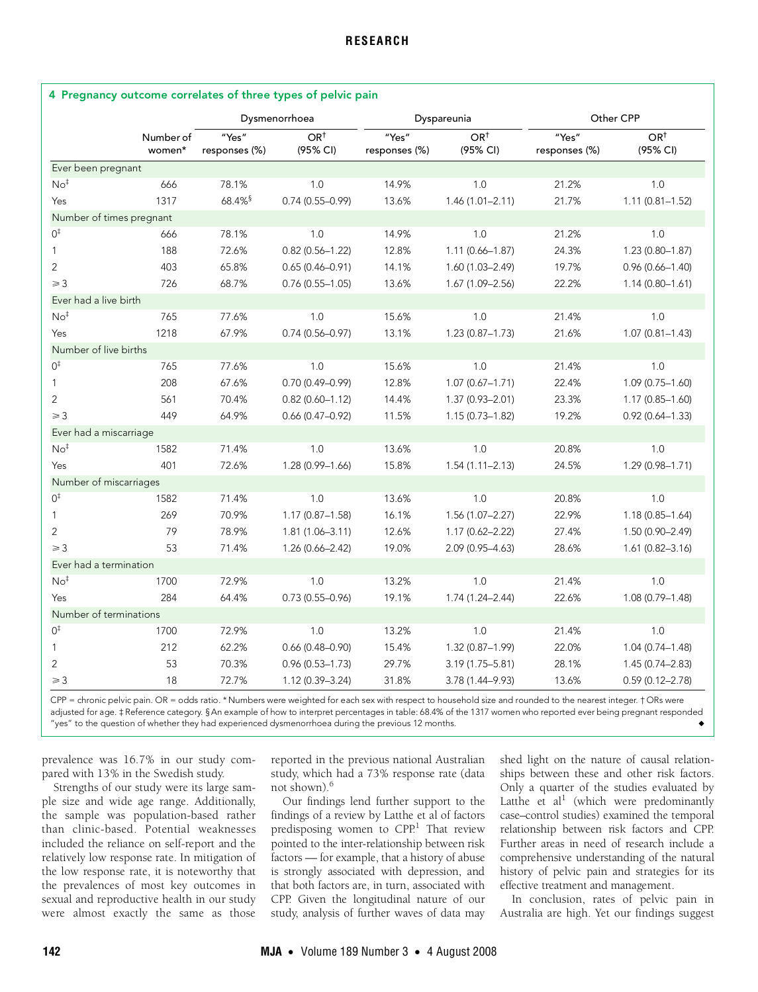|                          |                     | 4 Pregnancy outcome correlates of three types of pelvic pain |                             |                        |                             |                        |                             |  |  |
|--------------------------|---------------------|--------------------------------------------------------------|-----------------------------|------------------------|-----------------------------|------------------------|-----------------------------|--|--|
|                          |                     | Dysmenorrhoea                                                |                             |                        | Dyspareunia                 |                        | Other CPP                   |  |  |
|                          | Number of<br>women* | "Yes"<br>responses (%)                                       | OR <sup>†</sup><br>(95% CI) | "Yes"<br>responses (%) | OR <sup>†</sup><br>(95% CI) | "Yes"<br>responses (%) | OR <sup>†</sup><br>(95% CI) |  |  |
| Ever been pregnant       |                     |                                                              |                             |                        |                             |                        |                             |  |  |
| No <sup>†</sup>          | 666                 | 78.1%                                                        | 1.0                         | 14.9%                  | 1.0                         | 21.2%                  | 1.0                         |  |  |
| Yes                      | 1317                | 68.4% <sup>§</sup>                                           | $0.74(0.55 - 0.99)$         | 13.6%                  | $1.46(1.01 - 2.11)$         | 21.7%                  | $1.11(0.81 - 1.52)$         |  |  |
| Number of times pregnant |                     |                                                              |                             |                        |                             |                        |                             |  |  |
| $0^{\ddagger}$           | 666                 | 78.1%                                                        | 1.0                         | 14.9%                  | 1.0                         | 21.2%                  | 1.0                         |  |  |
| $\mathbf{1}$             | 188                 | 72.6%                                                        | $0.82(0.56 - 1.22)$         | 12.8%                  | $1.11(0.66 - 1.87)$         | 24.3%                  | $1.23(0.80 - 1.87)$         |  |  |
| 2                        | 403                 | 65.8%                                                        | $0.65(0.46 - 0.91)$         | 14.1%                  | 1.60 (1.03-2.49)            | 19.7%                  | $0.96(0.66 - 1.40)$         |  |  |
| $\geq$ 3                 | 726                 | 68.7%                                                        | $0.76(0.55 - 1.05)$         | 13.6%                  | $1.67(1.09 - 2.56)$         | 22.2%                  | $1.14(0.80 - 1.61)$         |  |  |
| Ever had a live birth    |                     |                                                              |                             |                        |                             |                        |                             |  |  |
| No <sup>†</sup>          | 765                 | 77.6%                                                        | 1.0                         | 15.6%                  | 1.0                         | 21.4%                  | 1.0                         |  |  |
| Yes                      | 1218                | 67.9%                                                        | $0.74(0.56 - 0.97)$         | 13.1%                  | $1.23(0.87 - 1.73)$         | 21.6%                  | $1.07(0.81 - 1.43)$         |  |  |
| Number of live births    |                     |                                                              |                             |                        |                             |                        |                             |  |  |
| $0^{\ddagger}$           | 765                 | 77.6%                                                        | 1.0                         | 15.6%                  | 1.0                         | 21.4%                  | 1.0                         |  |  |
| $\mathbf{1}$             | 208                 | 67.6%                                                        | $0.70(0.49 - 0.99)$         | 12.8%                  | $1.07(0.67 - 1.71)$         | 22.4%                  | $1.09(0.75 - 1.60)$         |  |  |
| $\overline{2}$           | 561                 | 70.4%                                                        | $0.82(0.60 - 1.12)$         | 14.4%                  | 1.37 (0.93-2.01)            | 23.3%                  | 1.17 (0.85-1.60)            |  |  |
| $\geq 3$                 | 449                 | 64.9%                                                        | $0.66(0.47 - 0.92)$         | 11.5%                  | $1.15(0.73 - 1.82)$         | 19.2%                  | $0.92(0.64 - 1.33)$         |  |  |
| Ever had a miscarriage   |                     |                                                              |                             |                        |                             |                        |                             |  |  |
| No <sup>‡</sup>          | 1582                | 71.4%                                                        | 1.0                         | 13.6%                  | 1.0                         | 20.8%                  | 1.0                         |  |  |
| Yes                      | 401                 | 72.6%                                                        | 1.28 (0.99-1.66)            | 15.8%                  | $1.54(1.11 - 2.13)$         | 24.5%                  | 1.29 (0.98-1.71)            |  |  |
| Number of miscarriages   |                     |                                                              |                             |                        |                             |                        |                             |  |  |
| $0^{\ddagger}$           | 1582                | 71.4%                                                        | 1.0                         | 13.6%                  | 1.0                         | 20.8%                  | 1.0                         |  |  |
| $\mathbf{1}$             | 269                 | 70.9%                                                        | $1.17(0.87 - 1.58)$         | 16.1%                  | 1.56 (1.07-2.27)            | 22.9%                  | 1.18 (0.85-1.64)            |  |  |
| $\overline{2}$           | 79                  | 78.9%                                                        | $1.81(1.06 - 3.11)$         | 12.6%                  | $1.17(0.62 - 2.22)$         | 27.4%                  | 1.50 (0.90-2.49)            |  |  |
| $\geq$ 3                 | 53                  | 71.4%                                                        | 1.26 (0.66-2.42)            | 19.0%                  | 2.09 (0.95-4.63)            | 28.6%                  | $1.61(0.82 - 3.16)$         |  |  |
| Ever had a termination   |                     |                                                              |                             |                        |                             |                        |                             |  |  |
| No <sup>‡</sup>          | 1700                | 72.9%                                                        | 1.0                         | 13.2%                  | 1.0                         | 21.4%                  | 1.0                         |  |  |
| Yes                      | 284                 | 64.4%                                                        | $0.73(0.55 - 0.96)$         | 19.1%                  | 1.74 (1.24-2.44)            | 22.6%                  | 1.08 (0.79-1.48)            |  |  |
| Number of terminations   |                     |                                                              |                             |                        |                             |                        |                             |  |  |
| $0^{\ddagger}$           | 1700                | 72.9%                                                        | 1.0                         | 13.2%                  | 1.0                         | 21.4%                  | 1.0                         |  |  |
| $\mathbf{1}$             | 212                 | 62.2%                                                        | $0.66(0.48 - 0.90)$         | 15.4%                  | 1.32 (0.87-1.99)            | 22.0%                  | 1.04 (0.74-1.48)            |  |  |
| $\overline{2}$           | 53                  | 70.3%                                                        | $0.96(0.53 - 1.73)$         | 29.7%                  | $3.19(1.75 - 5.81)$         | 28.1%                  | 1.45 (0.74-2.83)            |  |  |
| $\geq 3$                 | 18                  | 72.7%                                                        | 1.12 (0.39-3.24)            | 31.8%                  | 3.78 (1.44-9.93)            | 13.6%                  | $0.59(0.12 - 2.78)$         |  |  |

# 4 Pregnancy outcome correlates of three types of pelvic pain

CPP = chronic pelvic pain. OR = odds ratio. \* Numbers were weighted for each sex with respect to household size and rounded to the nearest integer. † ORs were adjusted for age. ‡ Reference category. § An example of how to interpret percentages in table: 68.4% of the 1317 women who reported ever being pregnant responded "yes" to the question of whether they had experienced dysmenorrhoea during the previous 12 months.

prevalence was 16.7% in our study compared with 13% in the Swedish study.

Strengths of our study were its large sample size and wide age range. Additionally, the sample was population-based rather than clinic-based. Potential weaknesses included the reliance on self-report and the relatively low response rate. In mitigation of the low response rate, it is noteworthy that the prevalences of most key outcomes in sexual and reproductive health in our study were almost exactly the same as those

reported in the previous national Australian study, which had a 73% response rate (data not shown).[6](#page-5-5)

Our findings lend further support to the findings of a review by Latthe et al of factors predisposing women to CPP.<sup>1</sup> That review pointed to the inter-relationship between risk factors — for example, that a history of abuse is strongly associated with depression, and that both factors are, in turn, associated with CPP. Given the longitudinal nature of our study, analysis of further waves of data may

shed light on the nature of causal relationships between these and other risk factors. Only a quarter of the studies evaluated by Latthe et al<sup>1</sup> (which were predominantly case–control studies) examined the temporal relationship between risk factors and CPP. Further areas in need of research include a comprehensive understanding of the natural history of pelvic pain and strategies for its effective treatment and management.

In conclusion, rates of pelvic pain in Australia are high. Yet our findings suggest